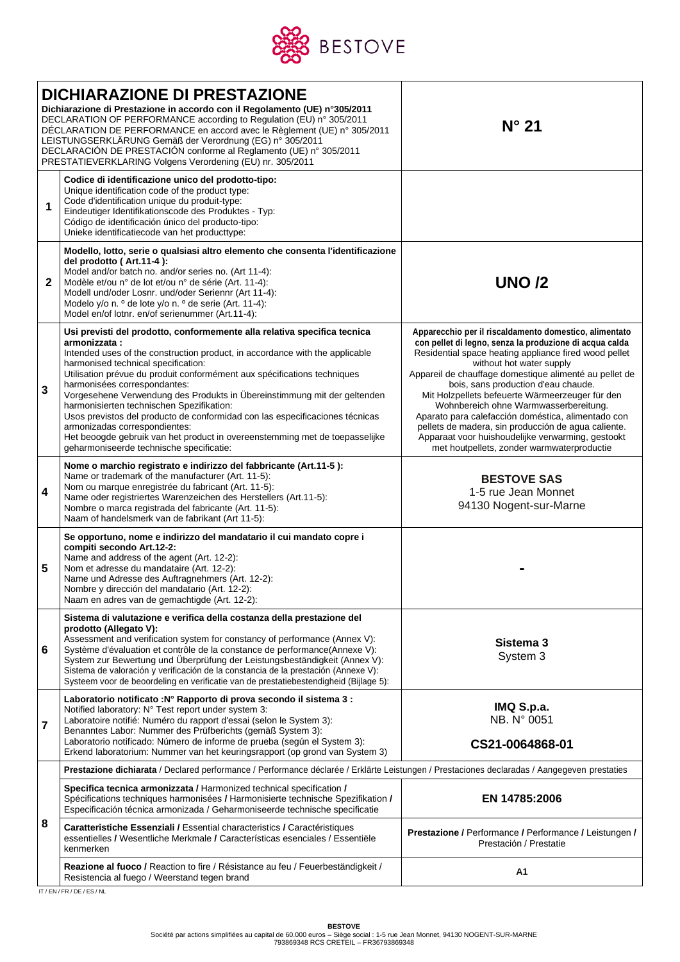

| <b>DICHIARAZIONE DI PRESTAZIONE</b><br>Dichiarazione di Prestazione in accordo con il Regolamento (UE) n°305/2011<br>DECLARATION OF PERFORMANCE according to Regulation (EU) n° 305/2011<br>DÉCLARATION DE PERFORMANCE en accord avec le Règlement (UE) n° 305/2011<br>LEISTUNGSERKLÄRUNG Gemäß der Verordnung (EG) n° 305/2011<br>DECLARACIÓN DE PRESTACIÓN conforme al Reglamento (UE) nº 305/2011<br>PRESTATIEVERKLARING Volgens Verordening (EU) nr. 305/2011 |                                                                                                                                                                                                                                                                                                                                                                                                                                                                                                                                                                                                                                                                                                  | $N^{\circ}$ 21                                                                                                                                                                                                                                                                                                                                                                                                                                                                                                                                                                                                      |  |  |  |
|-------------------------------------------------------------------------------------------------------------------------------------------------------------------------------------------------------------------------------------------------------------------------------------------------------------------------------------------------------------------------------------------------------------------------------------------------------------------|--------------------------------------------------------------------------------------------------------------------------------------------------------------------------------------------------------------------------------------------------------------------------------------------------------------------------------------------------------------------------------------------------------------------------------------------------------------------------------------------------------------------------------------------------------------------------------------------------------------------------------------------------------------------------------------------------|---------------------------------------------------------------------------------------------------------------------------------------------------------------------------------------------------------------------------------------------------------------------------------------------------------------------------------------------------------------------------------------------------------------------------------------------------------------------------------------------------------------------------------------------------------------------------------------------------------------------|--|--|--|
| 1                                                                                                                                                                                                                                                                                                                                                                                                                                                                 | Codice di identificazione unico del prodotto-tipo:<br>Unique identification code of the product type:<br>Code d'identification unique du produit-type:<br>Eindeutiger Identifikationscode des Produktes - Typ:<br>Código de identificación único del producto-tipo:<br>Unieke identificatiecode van het producttype:                                                                                                                                                                                                                                                                                                                                                                             |                                                                                                                                                                                                                                                                                                                                                                                                                                                                                                                                                                                                                     |  |  |  |
| $\mathbf{2}$                                                                                                                                                                                                                                                                                                                                                                                                                                                      | Modello, lotto, serie o qualsiasi altro elemento che consenta l'identificazione<br>del prodotto (Art.11-4):<br>Model and/or batch no. and/or series no. (Art 11-4):<br>Modèle et/ou n° de lot et/ou n° de série (Art. 11-4):<br>Modell und/oder Losnr. und/oder Seriennr (Art 11-4):<br>Modelo y/o n. º de lote y/o n. º de serie (Art. 11-4):<br>Model en/of lotnr. en/of serienummer (Art.11-4):                                                                                                                                                                                                                                                                                               | <b>UNO /2</b>                                                                                                                                                                                                                                                                                                                                                                                                                                                                                                                                                                                                       |  |  |  |
| 3                                                                                                                                                                                                                                                                                                                                                                                                                                                                 | Usi previsti del prodotto, conformemente alla relativa specifica tecnica<br>armonizzata:<br>Intended uses of the construction product, in accordance with the applicable<br>harmonised technical specification:<br>Utilisation prévue du produit conformément aux spécifications techniques<br>harmonisées correspondantes:<br>Vorgesehene Verwendung des Produkts in Übereinstimmung mit der geltenden<br>harmonisierten technischen Spezifikation:<br>Usos previstos del producto de conformidad con las especificaciones técnicas<br>armonizadas correspondientes:<br>Het beoogde gebruik van het product in overeenstemming met de toepasselijke<br>geharmoniseerde technische specificatie: | Apparecchio per il riscaldamento domestico, alimentato<br>con pellet di legno, senza la produzione di acqua calda<br>Residential space heating appliance fired wood pellet<br>without hot water supply<br>Appareil de chauffage domestique alimenté au pellet de<br>bois, sans production d'eau chaude.<br>Mit Holzpellets befeuerte Wärmeerzeuger für den<br>Wohnbereich ohne Warmwasserbereitung.<br>Aparato para calefacción doméstica, alimentado con<br>pellets de madera, sin producción de agua caliente.<br>Apparaat voor huishoudelijke verwarming, gestookt<br>met houtpellets, zonder warmwaterproductie |  |  |  |
| 4                                                                                                                                                                                                                                                                                                                                                                                                                                                                 | Nome o marchio registrato e indirizzo del fabbricante (Art.11-5):<br>Name or trademark of the manufacturer (Art. 11-5):<br>Nom ou marque enregistrée du fabricant (Art. 11-5):<br>Name oder registriertes Warenzeichen des Herstellers (Art.11-5):<br>Nombre o marca registrada del fabricante (Art. 11-5):<br>Naam of handelsmerk van de fabrikant (Art 11-5):                                                                                                                                                                                                                                                                                                                                  | <b>BESTOVE SAS</b><br>1-5 rue Jean Monnet<br>94130 Nogent-sur-Marne                                                                                                                                                                                                                                                                                                                                                                                                                                                                                                                                                 |  |  |  |
| 5                                                                                                                                                                                                                                                                                                                                                                                                                                                                 | Se opportuno, nome e indirizzo del mandatario il cui mandato copre i<br>compiti secondo Art.12-2:<br>Name and address of the agent (Art. 12-2):<br>Nom et adresse du mandataire (Art. 12-2):<br>Name und Adresse des Auftragnehmers (Art. 12-2):<br>Nombre y dirección del mandatario (Art. 12-2):<br>Naam en adres van de gemachtigde (Art. 12-2):                                                                                                                                                                                                                                                                                                                                              |                                                                                                                                                                                                                                                                                                                                                                                                                                                                                                                                                                                                                     |  |  |  |
| 6                                                                                                                                                                                                                                                                                                                                                                                                                                                                 | Sistema di valutazione e verifica della costanza della prestazione del<br>prodotto (Allegato V):<br>Assessment and verification system for constancy of performance (Annex V):<br>Système d'évaluation et contrôle de la constance de performance(Annexe V):<br>System zur Bewertung und Überprüfung der Leistungsbeständigkeit (Annex V):<br>Sistema de valoración y verificación de la constancia de la prestación (Annexe V):<br>Systeem voor de beoordeling en verificatie van de prestatiebestendigheid (Bijlage 5):                                                                                                                                                                        | Sistema 3<br>System 3                                                                                                                                                                                                                                                                                                                                                                                                                                                                                                                                                                                               |  |  |  |
| 7                                                                                                                                                                                                                                                                                                                                                                                                                                                                 | Laboratorio notificato : Nº Rapporto di prova secondo il sistema 3 :<br>Notified laboratory: N° Test report under system 3:<br>Laboratoire notifié: Numéro du rapport d'essai (selon le System 3):<br>Benanntes Labor: Nummer des Prüfberichts (gemäß System 3):<br>Laboratorio notificado: Número de informe de prueba (según el System 3):<br>Erkend laboratorium: Nummer van het keuringsrapport (op grond van System 3)                                                                                                                                                                                                                                                                      | IMQ S.p.a.<br>NB. N° 0051<br>CS21-0064868-01                                                                                                                                                                                                                                                                                                                                                                                                                                                                                                                                                                        |  |  |  |
|                                                                                                                                                                                                                                                                                                                                                                                                                                                                   | Prestazione dichiarata / Declared performance / Performance déclarée / Erklärte Leistungen / Prestaciones declaradas / Aangegeven prestaties                                                                                                                                                                                                                                                                                                                                                                                                                                                                                                                                                     |                                                                                                                                                                                                                                                                                                                                                                                                                                                                                                                                                                                                                     |  |  |  |
| 8                                                                                                                                                                                                                                                                                                                                                                                                                                                                 | Specifica tecnica armonizzata / Harmonized technical specification /<br>Spécifications techniques harmonisées / Harmonisierte technische Spezifikation /<br>Especificación técnica armonizada / Geharmoniseerde technische specificatie                                                                                                                                                                                                                                                                                                                                                                                                                                                          | EN 14785:2006                                                                                                                                                                                                                                                                                                                                                                                                                                                                                                                                                                                                       |  |  |  |
|                                                                                                                                                                                                                                                                                                                                                                                                                                                                   | Caratteristiche Essenziali / Essential characteristics / Caractéristiques<br>essentielles / Wesentliche Merkmale / Características esenciales / Essentiële<br>kenmerken                                                                                                                                                                                                                                                                                                                                                                                                                                                                                                                          | <b>Prestazione / Performance / Performance / Leistungen /</b><br>Prestación / Prestatie                                                                                                                                                                                                                                                                                                                                                                                                                                                                                                                             |  |  |  |
|                                                                                                                                                                                                                                                                                                                                                                                                                                                                   | Reazione al fuoco / Reaction to fire / Résistance au feu / Feuerbeständigkeit /<br>Resistencia al fuego / Weerstand tegen brand                                                                                                                                                                                                                                                                                                                                                                                                                                                                                                                                                                  | Α1                                                                                                                                                                                                                                                                                                                                                                                                                                                                                                                                                                                                                  |  |  |  |

IT / EN / FR / DE / ES / NL